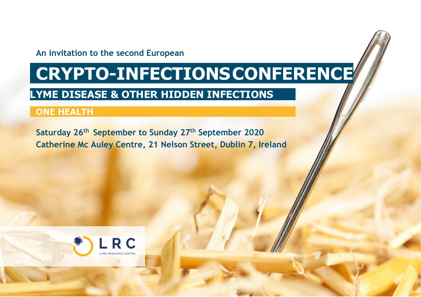### **An invitation to the second European**

# **CRYPTO-INFECTIONSCONFERENCE**

# **LYME DISEASE & OTHER HIDDEN INFECTIONS**

# **ONE HEALTH**

**Saturday 26th September to Sunday 27th September 2020 Catherine Mc Auley Centre, 21 Nelson Street, Dublin 7, Ireland**